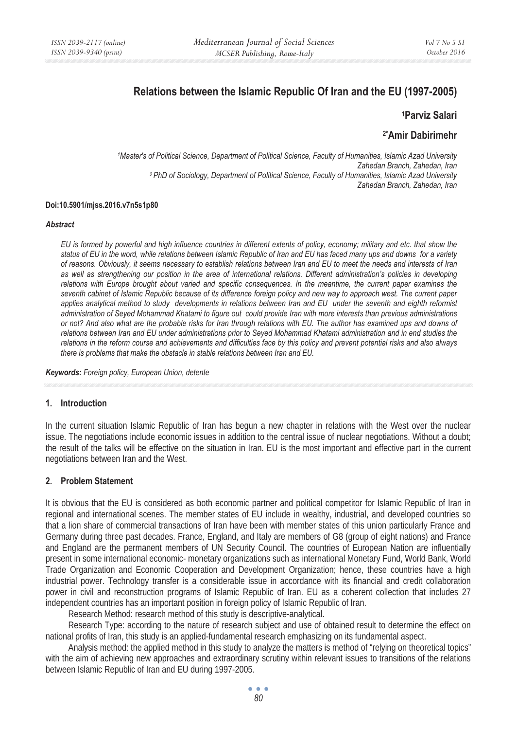# **Relations between the Islamic Republic Of Iran and the EU (1997-2005)**

#### **1Parviz Salari**

**2\*Amir Dabirimehr**

*1Master's of Political Science, Department of Political Science, Faculty of Humanities, Islamic Azad University Zahedan Branch, Zahedan, Iran 2 PhD of Sociology, Department of Political Science, Faculty of Humanities, Islamic Azad University Zahedan Branch, Zahedan, Iran* 

#### **Doi:10.5901/mjss.2016.v7n5s1p80**

#### *Abstract*

*EU is formed by powerful and high influence countries in different extents of policy, economy; military and etc. that show the status of EU in the word, while relations between Islamic Republic of Iran and EU has faced many ups and downs for a variety of reasons. Obviously, it seems necessary to establish relations between Iran and EU to meet the needs and interests of Iran as well as strengthening our position in the area of international relations. Different administration's policies in developing* relations with Europe brought about varied and specific consequences. In the meantime, the current paper examines the *seventh cabinet of Islamic Republic because of its difference foreign policy and new way to approach west. The current paper applies analytical method to study developments in relations between Iran and EU under the seventh and eighth reformist administration of Seyed Mohammad Khatami to figure out could provide Iran with more interests than previous administrations or not? And also what are the probable risks for Iran through relations with EU. The author has examined ups and downs of relations between Iran and EU under administrations prior to Seyed Mohammad Khatami administration and in end studies the relations in the reform course and achievements and difficulties face by this policy and prevent potential risks and also always there is problems that make the obstacle in stable relations between Iran and EU.* 

*Keywords: Foreign policy, European Union, detente*

#### **1. Introduction**

In the current situation Islamic Republic of Iran has begun a new chapter in relations with the West over the nuclear issue. The negotiations include economic issues in addition to the central issue of nuclear negotiations. Without a doubt; the result of the talks will be effective on the situation in Iran. EU is the most important and effective part in the current negotiations between Iran and the West.

#### **2. Problem Statement**

It is obvious that the EU is considered as both economic partner and political competitor for Islamic Republic of Iran in regional and international scenes. The member states of EU include in wealthy, industrial, and developed countries so that a lion share of commercial transactions of Iran have been with member states of this union particularly France and Germany during three past decades. France, England, and Italy are members of G8 (group of eight nations) and France and England are the permanent members of UN Security Council. The countries of European Nation are influentially present in some international economic- monetary organizations such as international Monetary Fund, World Bank, World Trade Organization and Economic Cooperation and Development Organization; hence, these countries have a high industrial power. Technology transfer is a considerable issue in accordance with its financial and credit collaboration power in civil and reconstruction programs of Islamic Republic of Iran. EU as a coherent collection that includes 27 independent countries has an important position in foreign policy of Islamic Republic of Iran.

Research Method: research method of this study is descriptive-analytical.

Research Type: according to the nature of research subject and use of obtained result to determine the effect on national profits of Iran, this study is an applied-fundamental research emphasizing on its fundamental aspect.

Analysis method: the applied method in this study to analyze the matters is method of "relying on theoretical topics" with the aim of achieving new approaches and extraordinary scrutiny within relevant issues to transitions of the relations between Islamic Republic of Iran and EU during 1997-2005.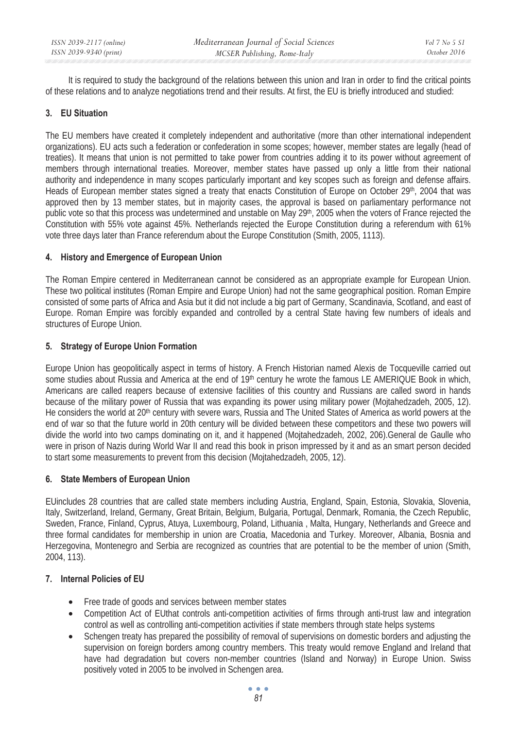It is required to study the background of the relations between this union and Iran in order to find the critical points of these relations and to analyze negotiations trend and their results. At first, the EU is briefly introduced and studied:

### **3. EU Situation**

The EU members have created it completely independent and authoritative (more than other international independent organizations). EU acts such a federation or confederation in some scopes; however, member states are legally (head of treaties). It means that union is not permitted to take power from countries adding it to its power without agreement of members through international treaties. Moreover, member states have passed up only a little from their national authority and independence in many scopes particularly important and key scopes such as foreign and defense affairs. Heads of European member states signed a treaty that enacts Constitution of Europe on October 29<sup>th</sup>, 2004 that was approved then by 13 member states, but in majority cases, the approval is based on parliamentary performance not public vote so that this process was undetermined and unstable on May 29<sup>th</sup>, 2005 when the voters of France rejected the Constitution with 55% vote against 45%. Netherlands rejected the Europe Constitution during a referendum with 61% vote three days later than France referendum about the Europe Constitution (Smith, 2005, 1113).

### **4. History and Emergence of European Union**

The Roman Empire centered in Mediterranean cannot be considered as an appropriate example for European Union. These two political institutes (Roman Empire and Europe Union) had not the same geographical position. Roman Empire consisted of some parts of Africa and Asia but it did not include a big part of Germany, Scandinavia, Scotland, and east of Europe. Roman Empire was forcibly expanded and controlled by a central State having few numbers of ideals and structures of Europe Union.

### **5. Strategy of Europe Union Formation**

Europe Union has geopolitically aspect in terms of history. A French Historian named Alexis de Tocqueville carried out some studies about Russia and America at the end of 19<sup>th</sup> century he wrote the famous LE AMERIQUE Book in which, Americans are called reapers because of extensive facilities of this country and Russians are called sword in hands because of the military power of Russia that was expanding its power using military power (Mojtahedzadeh, 2005, 12). He considers the world at 20th century with severe wars, Russia and The United States of America as world powers at the end of war so that the future world in 20th century will be divided between these competitors and these two powers will divide the world into two camps dominating on it, and it happened (Mojtahedzadeh, 2002, 206).General de Gaulle who were in prison of Nazis during World War II and read this book in prison impressed by it and as an smart person decided to start some measurements to prevent from this decision (Mojtahedzadeh, 2005, 12).

# **6. State Members of European Union**

EUincludes 28 countries that are called state members including Austria, England, Spain, Estonia, Slovakia, Slovenia, Italy, Switzerland, Ireland, Germany, Great Britain, Belgium, Bulgaria, Portugal, Denmark, Romania, the Czech Republic, Sweden, France, Finland, Cyprus, Atuya, Luxembourg, Poland, Lithuania , Malta, Hungary, Netherlands and Greece and three formal candidates for membership in union are Croatia, Macedonia and Turkey. Moreover, Albania, Bosnia and Herzegovina, Montenegro and Serbia are recognized as countries that are potential to be the member of union (Smith, 2004, 113).

# **7. Internal Policies of EU**

- Free trade of goods and services between member states
- Competition Act of EUthat controls anti-competition activities of firms through anti-trust law and integration control as well as controlling anti-competition activities if state members through state helps systems
- Schengen treaty has prepared the possibility of removal of supervisions on domestic borders and adjusting the supervision on foreign borders among country members. This treaty would remove England and Ireland that have had degradation but covers non-member countries (Island and Norway) in Europe Union. Swiss positively voted in 2005 to be involved in Schengen area.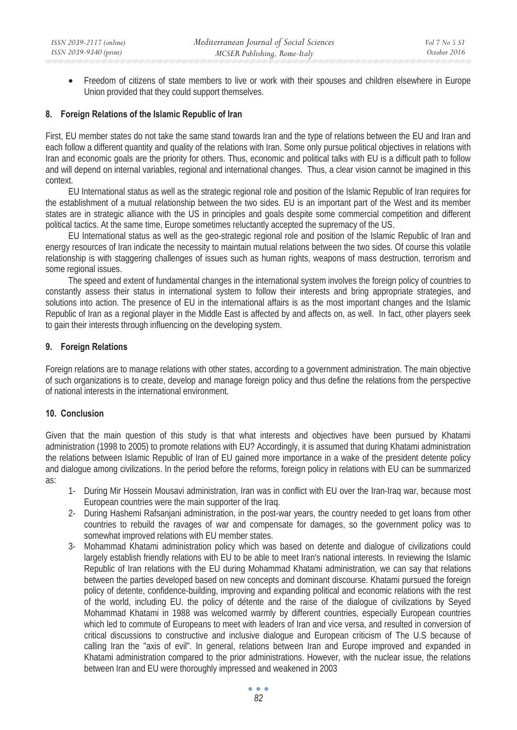• Freedom of citizens of state members to live or work with their spouses and children elsewhere in Europe Union provided that they could support themselves.

#### **8. Foreign Relations of the Islamic Republic of Iran**

First, EU member states do not take the same stand towards Iran and the type of relations between the EU and Iran and each follow a different quantity and quality of the relations with Iran. Some only pursue political objectives in relations with Iran and economic goals are the priority for others. Thus, economic and political talks with EU is a difficult path to follow and will depend on internal variables, regional and international changes. Thus, a clear vision cannot be imagined in this context.

EU International status as well as the strategic regional role and position of the Islamic Republic of Iran requires for the establishment of a mutual relationship between the two sides. EU is an important part of the West and its member states are in strategic alliance with the US in principles and goals despite some commercial competition and different political tactics. At the same time, Europe sometimes reluctantly accepted the supremacy of the US.

EU International status as well as the geo-strategic regional role and position of the Islamic Republic of Iran and energy resources of Iran indicate the necessity to maintain mutual relations between the two sides. Of course this volatile relationship is with staggering challenges of issues such as human rights, weapons of mass destruction, terrorism and some regional issues.

The speed and extent of fundamental changes in the international system involves the foreign policy of countries to constantly assess their status in international system to follow their interests and bring appropriate strategies, and solutions into action. The presence of EU in the international affairs is as the most important changes and the Islamic Republic of Iran as a regional player in the Middle East is affected by and affects on, as well. In fact, other players seek to gain their interests through influencing on the developing system.

### **9. Foreign Relations**

Foreign relations are to manage relations with other states, according to a government administration. The main objective of such organizations is to create, develop and manage foreign policy and thus define the relations from the perspective of national interests in the international environment.

# **10. Conclusion**

Given that the main question of this study is that what interests and objectives have been pursued by Khatami administration (1998 to 2005) to promote relations with EU? Accordingly, it is assumed that during Khatami administration the relations between Islamic Republic of Iran of EU gained more importance in a wake of the president detente policy and dialogue among civilizations. In the period before the reforms, foreign policy in relations with EU can be summarized as:

- 1- During Mir Hossein Mousavi administration, Iran was in conflict with EU over the Iran-Iraq war, because most European countries were the main supporter of the Iraq.
- 2- During Hashemi Rafsanjani administration, in the post-war years, the country needed to get loans from other countries to rebuild the ravages of war and compensate for damages, so the government policy was to somewhat improved relations with EU member states.
- 3- Mohammad Khatami administration policy which was based on detente and dialogue of civilizations could largely establish friendly relations with EU to be able to meet Iran's national interests. In reviewing the Islamic Republic of Iran relations with the EU during Mohammad Khatami administration, we can say that relations between the parties developed based on new concepts and dominant discourse. Khatami pursued the foreign policy of detente, confidence-building, improving and expanding political and economic relations with the rest of the world, including EU. the policy of détente and the raise of the dialogue of civilizations by Seyed Mohammad Khatami in 1988 was welcomed warmly by different countries, especially European countries which led to commute of Europeans to meet with leaders of Iran and vice versa, and resulted in conversion of critical discussions to constructive and inclusive dialogue and European criticism of The U.S because of calling Iran the "axis of evil". In general, relations between Iran and Europe improved and expanded in Khatami administration compared to the prior administrations. However, with the nuclear issue, the relations between Iran and EU were thoroughly impressed and weakened in 2003